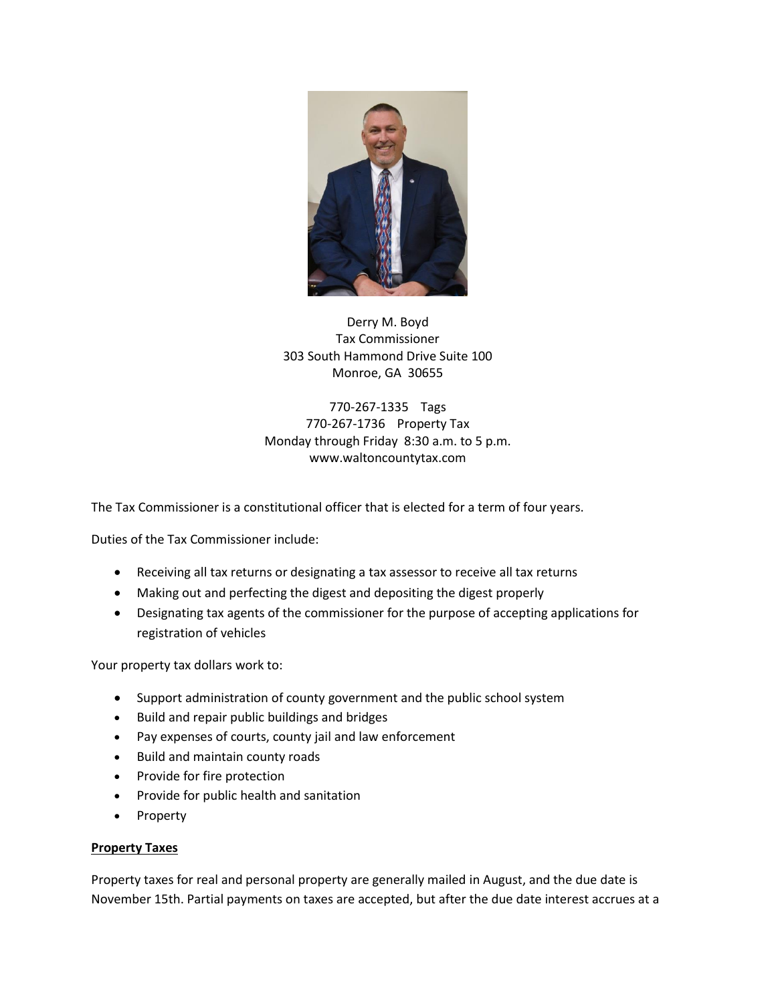

Derry M. Boyd Tax Commissioner 303 South Hammond Drive Suite 100 Monroe, GA 30655

770-267-1335 Tags 770-267-1736 Property Tax Monday through Friday 8:30 a.m. to 5 p.m. www.waltoncountytax.com

The Tax Commissioner is a constitutional officer that is elected for a term of four years.

Duties of the Tax Commissioner include:

- Receiving all tax returns or designating a tax assessor to receive all tax returns
- Making out and perfecting the digest and depositing the digest properly
- Designating tax agents of the commissioner for the purpose of accepting applications for registration of vehicles

Your property tax dollars work to:

- Support administration of county government and the public school system
- Build and repair public buildings and bridges
- Pay expenses of courts, county jail and law enforcement
- Build and maintain county roads
- Provide for fire protection
- Provide for public health and sanitation
- Property

#### **Property Taxes**

Property taxes for real and personal property are generally mailed in August, and the due date is November 15th. Partial payments on taxes are accepted, but after the due date interest accrues at a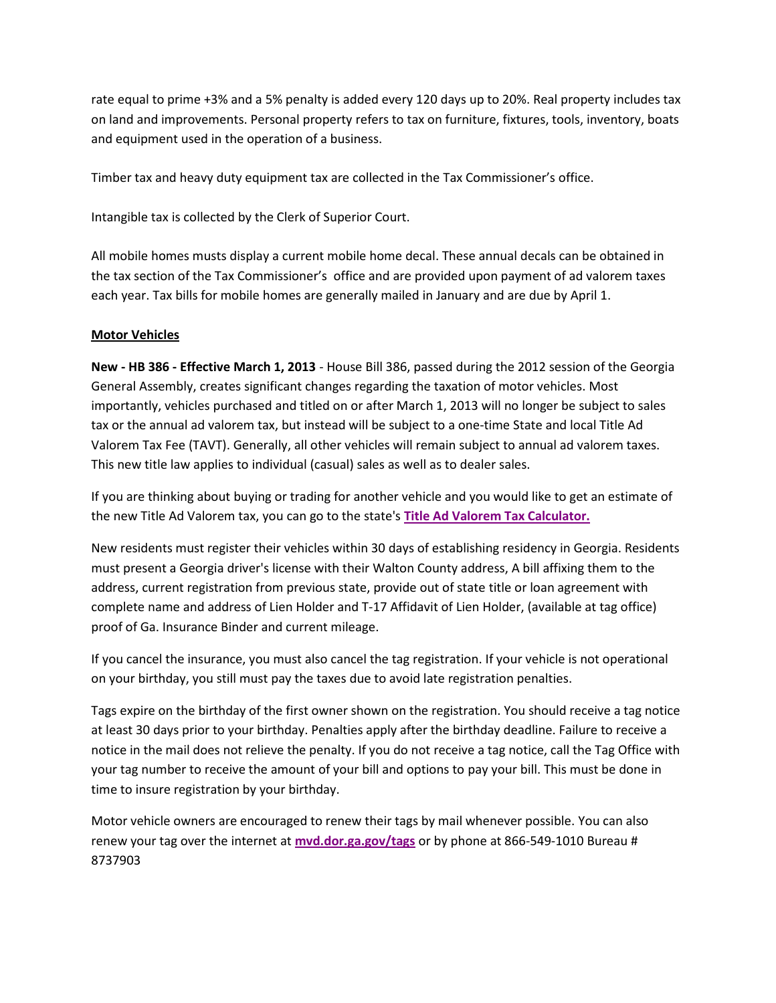rate equal to prime +3% and a 5% penalty is added every 120 days up to 20%. Real property includes tax on land and improvements. Personal property refers to tax on furniture, fixtures, tools, inventory, boats and equipment used in the operation of a business.

Timber tax and heavy duty equipment tax are collected in the Tax Commissioner's office.

Intangible tax is collected by the Clerk of Superior Court.

All mobile homes musts display a current mobile home decal. These annual decals can be obtained in the tax section of the Tax Commissioner's office and are provided upon payment of ad valorem taxes each year. Tax bills for mobile homes are generally mailed in January and are due by April 1.

#### **Motor Vehicles**

**New - HB 386 - Effective March 1, 2013** - House Bill 386, passed during the 2012 session of the Georgia General Assembly, creates significant changes regarding the taxation of motor vehicles. Most importantly, vehicles purchased and titled on or after March 1, 2013 will no longer be subject to sales tax or the annual ad valorem tax, but instead will be subject to a one-time State and local Title Ad Valorem Tax Fee (TAVT). Generally, all other vehicles will remain subject to annual ad valorem taxes. This new title law applies to individual (casual) sales as well as to dealer sales.

If you are thinking about buying or trading for another vehicle and you would like to get an estimate of the new Title Ad Valorem tax, you can go to the state's **[Title Ad Valorem Tax Calculator.](https://dor.georgia.gov/motor-vehicles)**

New residents must register their vehicles within 30 days of establishing residency in Georgia. Residents must present a Georgia driver's license with their Walton County address, A bill affixing them to the address, current registration from previous state, provide out of state title or loan agreement with complete name and address of Lien Holder and T-17 Affidavit of Lien Holder, (available at tag office) proof of Ga. Insurance Binder and current mileage.

If you cancel the insurance, you must also cancel the tag registration. If your vehicle is not operational on your birthday, you still must pay the taxes due to avoid late registration penalties.

Tags expire on the birthday of the first owner shown on the registration. You should receive a tag notice at least 30 days prior to your birthday. Penalties apply after the birthday deadline. Failure to receive a notice in the mail does not relieve the penalty. If you do not receive a tag notice, call the Tag Office with your tag number to receive the amount of your bill and options to pay your bill. This must be done in time to insure registration by your birthday.

Motor vehicle owners are encouraged to renew their tags by mail whenever possible. You can also renew your tag over the internet at **[mvd.dor.ga.gov/tags](http://mvd.dor.ga.gov/tags/)** or by phone at 866-549-1010 Bureau # 8737903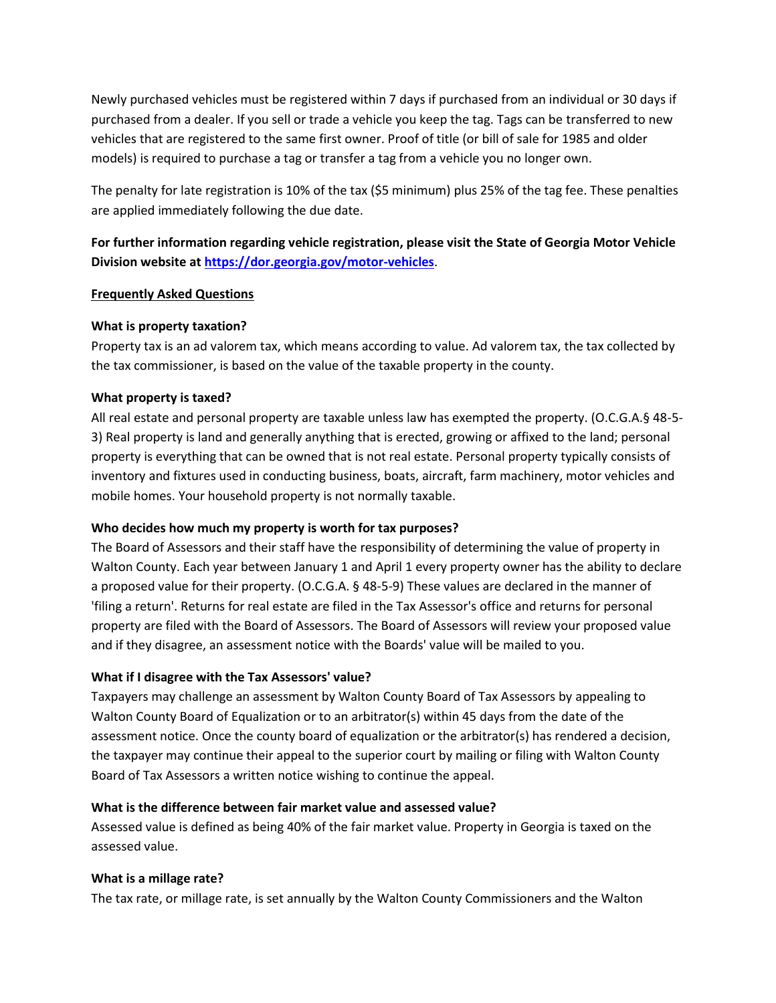Newly purchased vehicles must be registered within 7 days if purchased from an individual or 30 days if purchased from a dealer. If you sell or trade a vehicle you keep the tag. Tags can be transferred to new vehicles that are registered to the same first owner. Proof of title (or bill of sale for 1985 and older models) is required to purchase a tag or transfer a tag from a vehicle you no longer own.

The penalty for late registration is 10% of the tax (\$5 minimum) plus 25% of the tag fee. These penalties are applied immediately following the due date.

**For further information regarding vehicle registration, please visit the State of Georgia Motor Vehicle Division website at <https://dor.georgia.gov/motor-vehicles>**.

## **Frequently Asked Questions**

## **What is property taxation?**

Property tax is an ad valorem tax, which means according to value. Ad valorem tax, the tax collected by the tax commissioner, is based on the value of the taxable property in the county.

## **What property is taxed?**

All real estate and personal property are taxable unless law has exempted the property. (O.C.G.A.§ 48-5- 3) Real property is land and generally anything that is erected, growing or affixed to the land; personal property is everything that can be owned that is not real estate. Personal property typically consists of inventory and fixtures used in conducting business, boats, aircraft, farm machinery, motor vehicles and mobile homes. Your household property is not normally taxable.

# **Who decides how much my property is worth for tax purposes?**

The Board of Assessors and their staff have the responsibility of determining the value of property in Walton County. Each year between January 1 and April 1 every property owner has the ability to declare a proposed value for their property. (O.C.G.A. § 48-5-9) These values are declared in the manner of 'filing a return'. Returns for real estate are filed in the Tax Assessor's office and returns for personal property are filed with the Board of Assessors. The Board of Assessors will review your proposed value and if they disagree, an assessment notice with the Boards' value will be mailed to you.

# **What if I disagree with the Tax Assessors' value?**

Taxpayers may challenge an assessment by Walton County Board of Tax Assessors by appealing to Walton County Board of Equalization or to an arbitrator(s) within 45 days from the date of the assessment notice. Once the county board of equalization or the arbitrator(s) has rendered a decision, the taxpayer may continue their appeal to the superior court by mailing or filing with Walton County Board of Tax Assessors a written notice wishing to continue the appeal.

# **What is the difference between fair market value and assessed value?**

Assessed value is defined as being 40% of the fair market value. Property in Georgia is taxed on the assessed value.

#### **What is a millage rate?**

The tax rate, or millage rate, is set annually by the Walton County Commissioners and the Walton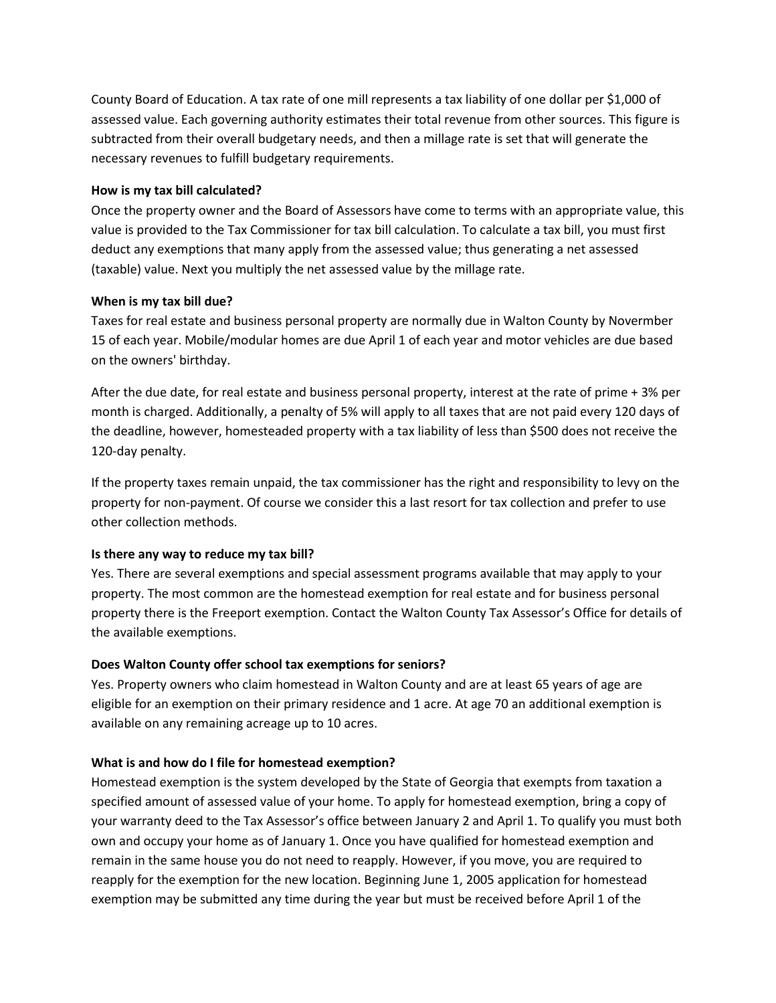County Board of Education. A tax rate of one mill represents a tax liability of one dollar per \$1,000 of assessed value. Each governing authority estimates their total revenue from other sources. This figure is subtracted from their overall budgetary needs, and then a millage rate is set that will generate the necessary revenues to fulfill budgetary requirements.

#### **How is my tax bill calculated?**

Once the property owner and the Board of Assessors have come to terms with an appropriate value, this value is provided to the Tax Commissioner for tax bill calculation. To calculate a tax bill, you must first deduct any exemptions that many apply from the assessed value; thus generating a net assessed (taxable) value. Next you multiply the net assessed value by the millage rate.

#### **When is my tax bill due?**

Taxes for real estate and business personal property are normally due in Walton County by Novermber 15 of each year. Mobile/modular homes are due April 1 of each year and motor vehicles are due based on the owners' birthday.

After the due date, for real estate and business personal property, interest at the rate of prime + 3% per month is charged. Additionally, a penalty of 5% will apply to all taxes that are not paid every 120 days of the deadline, however, homesteaded property with a tax liability of less than \$500 does not receive the 120-day penalty.

If the property taxes remain unpaid, the tax commissioner has the right and responsibility to levy on the property for non-payment. Of course we consider this a last resort for tax collection and prefer to use other collection methods.

#### **Is there any way to reduce my tax bill?**

Yes. There are several exemptions and special assessment programs available that may apply to your property. The most common are the homestead exemption for real estate and for business personal property there is the Freeport exemption. Contact the Walton County Tax Assessor's Office for details of the available exemptions.

#### **Does Walton County offer school tax exemptions for seniors?**

Yes. Property owners who claim homestead in Walton County and are at least 65 years of age are eligible for an exemption on their primary residence and 1 acre. At age 70 an additional exemption is available on any remaining acreage up to 10 acres.

#### **What is and how do I file for homestead exemption?**

Homestead exemption is the system developed by the State of Georgia that exempts from taxation a specified amount of assessed value of your home. To apply for homestead exemption, bring a copy of your warranty deed to the Tax Assessor's office between January 2 and April 1. To qualify you must both own and occupy your home as of January 1. Once you have qualified for homestead exemption and remain in the same house you do not need to reapply. However, if you move, you are required to reapply for the exemption for the new location. Beginning June 1, 2005 application for homestead exemption may be submitted any time during the year but must be received before April 1 of the